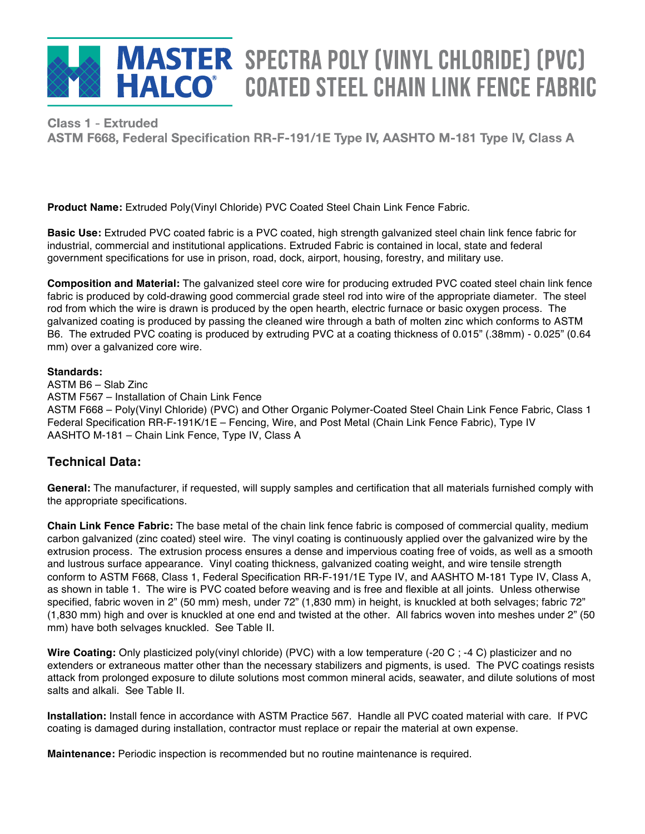

# **MASTER SPECTRA POLY (VINYL CHLORIDE) (PVC) HALCO** COATED STEEL CHAIN LINK FENCE FABRIC

**4QFDUSB** Poly(Vinyl Chloride) (PVC) Coated (Truded<br>- Eadarel Specification DD-E-101/1E-Type I  $, 1$  cucral opeemed

**Product Name:** Extruded Poly(Vinyl Chloride) PVC Coated Steel Chain Link Fence Fabric.

**Basic Use:** Extruded PVC coated fabric is a PVC coated, high strength galvanized steel chain link fence fabric for industrial, commercial and institutional applications. Extruded Fabric is contained in local, state and federal government specifications for use in prison, road, dock, airport, housing, forestry, and military use.

**Composition and Material:** The galvanized steel core wire for producing extruded PVC coated steel chain link fence fabric is produced by cold-drawing good commercial grade steel rod into wire of the appropriate diameter. The steel rod from which the wire is drawn is produced by the open hearth, electric furnace or basic oxygen process. The galvanized coating is produced by passing the cleaned wire through a bath of molten zinc which conforms to ASTM B6. The extruded PVC coating is produced by extruding PVC at a coating thickness of 0.015" (.38mm) - 0.025" (0.64 mm) over a galvanized core wire.

## **Standards:**

ASTM B6 – Slab Zinc ASTM F567 – Installation of Chain Link Fence ASTM F668 – Poly(Vinyl Chloride) (PVC) and Other Organic Polymer-Coated Steel Chain Link Fence Fabric, Class 1 Federal Specification RR-F-191K/1E – Fencing, Wire, and Post Metal (Chain Link Fence Fabric), Type IV AASHTO M-181 – Chain Link Fence, Type IV, Class A

# **Technical Data:**

**General:** The manufacturer, if requested, will supply samples and certification that all materials furnished comply with the appropriate specifications.

**Chain Link Fence Fabric:** The base metal of the chain link fence fabric is composed of commercial quality, medium carbon galvanized (zinc coated) steel wire. The vinyl coating is continuously applied over the galvanized wire by the extrusion process. The extrusion process ensures a dense and impervious coating free of voids, as well as a smooth and lustrous surface appearance. Vinyl coating thickness, galvanized coating weight, and wire tensile strength conform to ASTM F668, Class 1, Federal Specification RR-F-191/1E Type IV, and AASHTO M-181 Type IV, Class A, as shown in table 1. The wire is PVC coated before weaving and is free and flexible at all joints. Unless otherwise specified, fabric woven in 2" (50 mm) mesh, under 72" (1,830 mm) in height, is knuckled at both selvages; fabric 72" (1,830 mm) high and over is knuckled at one end and twisted at the other. All fabrics woven into meshes under 2" (50 mm) have both selvages knuckled. See Table II.

**Wire Coating:** Only plasticized poly(vinyl chloride) (PVC) with a low temperature (-20 C ; -4 C) plasticizer and no extenders or extraneous matter other than the necessary stabilizers and pigments, is used. The PVC coatings resists attack from prolonged exposure to dilute solutions most common mineral acids, seawater, and dilute solutions of most salts and alkali. See Table II.

**Installation:** Install fence in accordance with ASTM Practice 567. Handle all PVC coated material with care. If PVC coating is damaged during installation, contractor must replace or repair the material at own expense.

**Maintenance:** Periodic inspection is recommended but no routine maintenance is required.